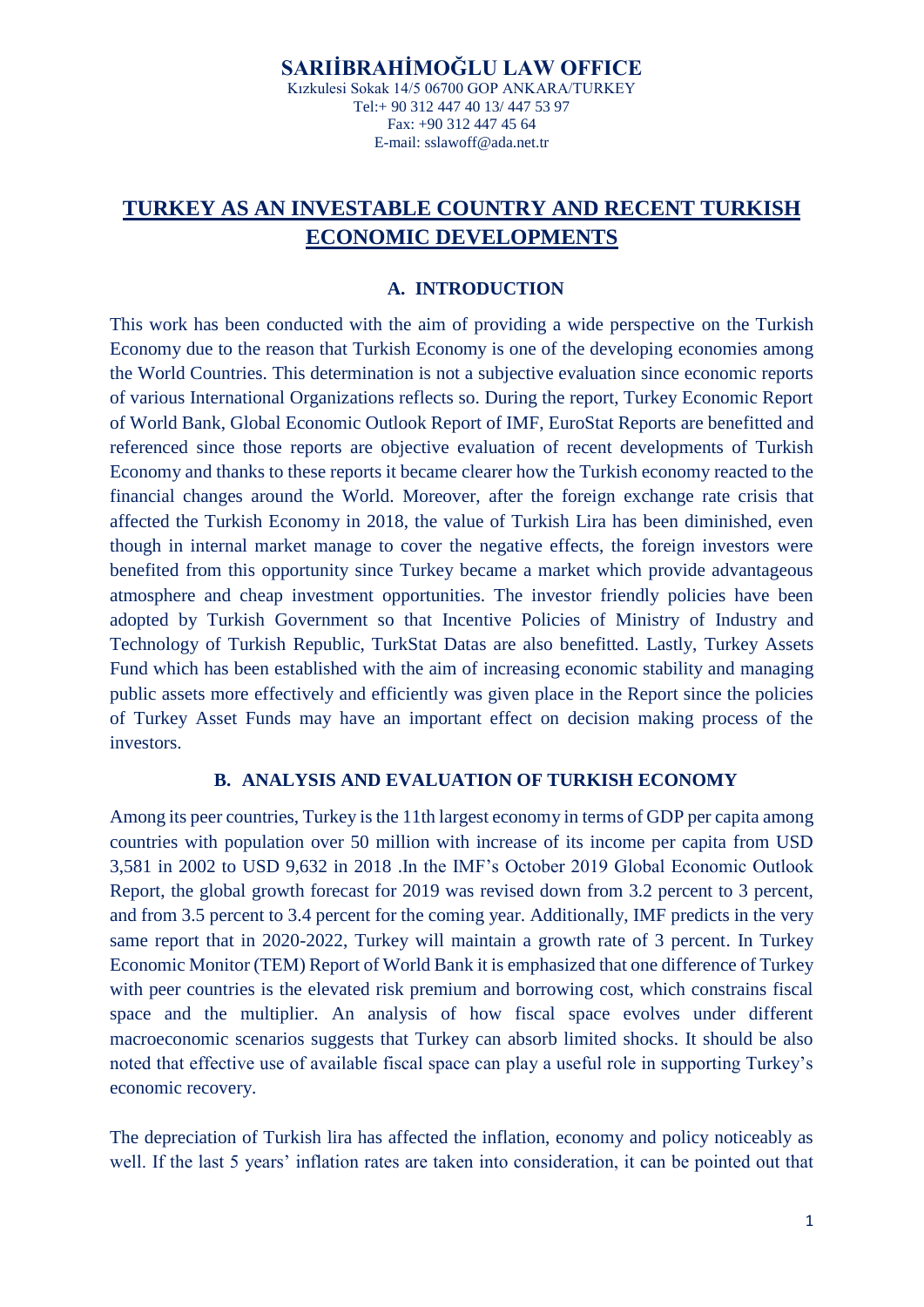# **TURKEY AS AN INVESTABLE COUNTRY AND RECENT TURKISH ECONOMIC DEVELOPMENTS**

#### **A. INTRODUCTION**

This work has been conducted with the aim of providing a wide perspective on the Turkish Economy due to the reason that Turkish Economy is one of the developing economies among the World Countries. This determination is not a subjective evaluation since economic reports of various International Organizations reflects so. During the report, Turkey Economic Report of World Bank, Global Economic Outlook Report of IMF, EuroStat Reports are benefitted and referenced since those reports are objective evaluation of recent developments of Turkish Economy and thanks to these reports it became clearer how the Turkish economy reacted to the financial changes around the World. Moreover, after the foreign exchange rate crisis that affected the Turkish Economy in 2018, the value of Turkish Lira has been diminished, even though in internal market manage to cover the negative effects, the foreign investors were benefited from this opportunity since Turkey became a market which provide advantageous atmosphere and cheap investment opportunities. The investor friendly policies have been adopted by Turkish Government so that Incentive Policies of Ministry of Industry and Technology of Turkish Republic, TurkStat Datas are also benefitted. Lastly, Turkey Assets Fund which has been established with the aim of increasing economic stability and managing public assets more effectively and efficiently was given place in the Report since the policies of Turkey Asset Funds may have an important effect on decision making process of the investors.

#### **B. ANALYSIS AND EVALUATION OF TURKISH ECONOMY**

Among its peer countries, Turkey is the 11th largest economy in terms of GDP per capita among countries with population over 50 million with increase of its income per capita from USD 3,581 in 2002 to USD 9,632 in 2018 .In the IMF's October 2019 Global Economic Outlook Report, the global growth forecast for 2019 was revised down from 3.2 percent to 3 percent, and from 3.5 percent to 3.4 percent for the coming year. Additionally, IMF predicts in the very same report that in 2020-2022, Turkey will maintain a growth rate of 3 percent. In Turkey Economic Monitor (TEM) Report of World Bank it is emphasized that one difference of Turkey with peer countries is the elevated risk premium and borrowing cost, which constrains fiscal space and the multiplier. An analysis of how fiscal space evolves under different macroeconomic scenarios suggests that Turkey can absorb limited shocks. It should be also noted that effective use of available fiscal space can play a useful role in supporting Turkey's economic recovery.

The depreciation of Turkish lira has affected the inflation, economy and policy noticeably as well. If the last 5 years' inflation rates are taken into consideration, it can be pointed out that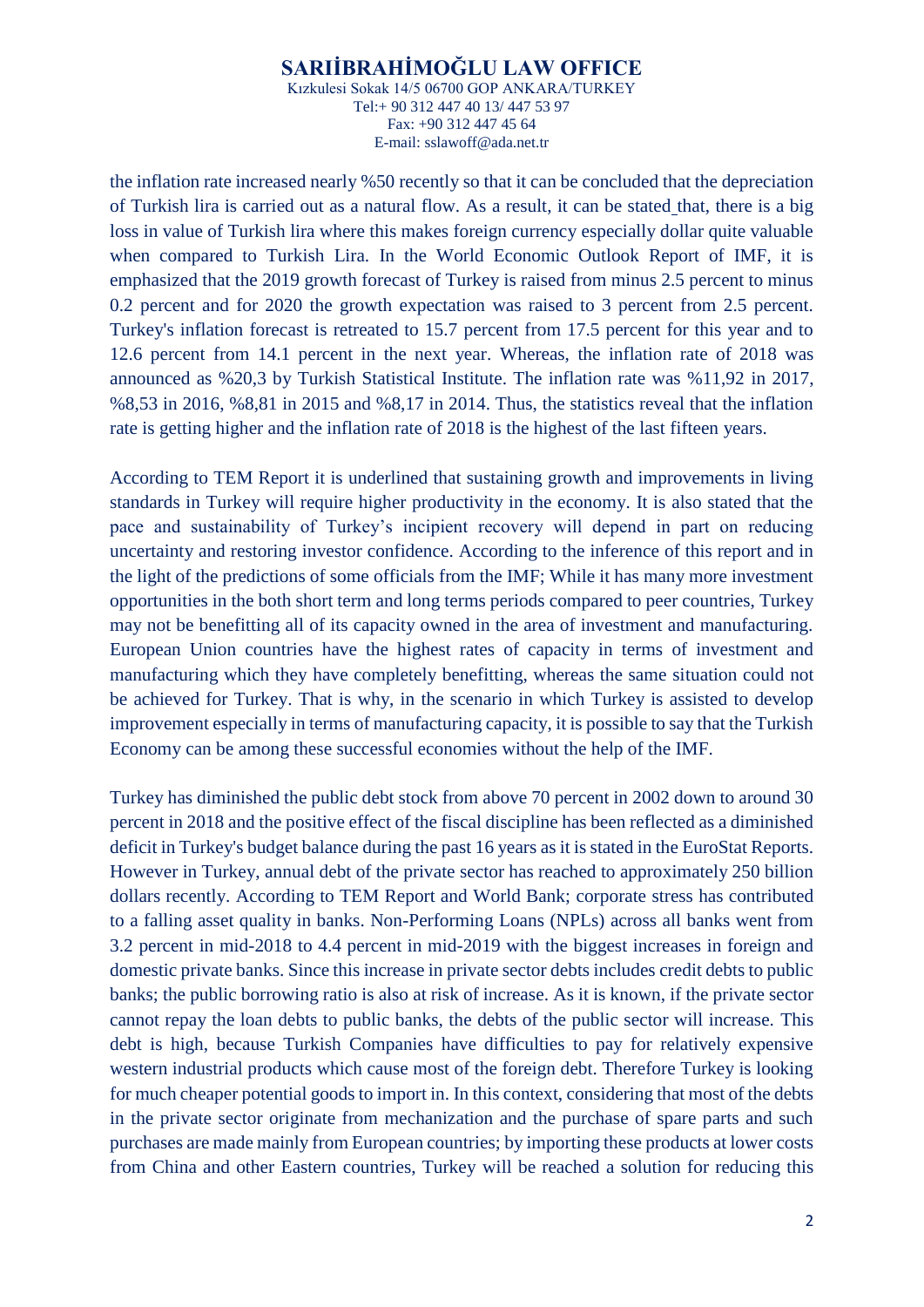the inflation rate increased nearly %50 recently so that it can be concluded that the depreciation of Turkish lira is carried out as a natural flow. As a result, it can be stated that, there is a big loss in value of Turkish lira where this makes foreign currency especially dollar quite valuable when compared to Turkish Lira. In the World Economic Outlook Report of IMF, it is emphasized that the 2019 growth forecast of Turkey is raised from minus 2.5 percent to minus 0.2 percent and for 2020 the growth expectation was raised to 3 percent from 2.5 percent. Turkey's inflation forecast is retreated to 15.7 percent from 17.5 percent for this year and to 12.6 percent from 14.1 percent in the next year. Whereas, the inflation rate of 2018 was announced as %20,3 by Turkish Statistical Institute. The inflation rate was %11,92 in 2017, %8,53 in 2016, %8,81 in 2015 and %8,17 in 2014. Thus, the statistics reveal that the inflation rate is getting higher and the inflation rate of 2018 is the highest of the last fifteen years.

According to TEM Report it is underlined that sustaining growth and improvements in living standards in Turkey will require higher productivity in the economy. It is also stated that the pace and sustainability of Turkey's incipient recovery will depend in part on reducing uncertainty and restoring investor confidence. According to the inference of this report and in the light of the predictions of some officials from the IMF; While it has many more investment opportunities in the both short term and long terms periods compared to peer countries, Turkey may not be benefitting all of its capacity owned in the area of investment and manufacturing. European Union countries have the highest rates of capacity in terms of investment and manufacturing which they have completely benefitting, whereas the same situation could not be achieved for Turkey. That is why, in the scenario in which Turkey is assisted to develop improvement especially in terms of manufacturing capacity, it is possible to say that the Turkish Economy can be among these successful economies without the help of the IMF.

Turkey has diminished the public debt stock from above 70 percent in 2002 down to around 30 percent in 2018 and the positive effect of the fiscal discipline has been reflected as a diminished deficit in Turkey's budget balance during the past 16 years as it is stated in the EuroStat Reports. However in Turkey, annual debt of the private sector has reached to approximately 250 billion dollars recently. According to TEM Report and World Bank; corporate stress has contributed to a falling asset quality in banks. Non-Performing Loans (NPLs) across all banks went from 3.2 percent in mid-2018 to 4.4 percent in mid-2019 with the biggest increases in foreign and domestic private banks. Since this increase in private sector debts includes credit debts to public banks; the public borrowing ratio is also at risk of increase. As it is known, if the private sector cannot repay the loan debts to public banks, the debts of the public sector will increase. This debt is high, because Turkish Companies have difficulties to pay for relatively expensive western industrial products which cause most of the foreign debt. Therefore Turkey is looking for much cheaper potential goods to import in. In this context, considering that most of the debts in the private sector originate from mechanization and the purchase of spare parts and such purchases are made mainly from European countries; by importing these products at lower costs from China and other Eastern countries, Turkey will be reached a solution for reducing this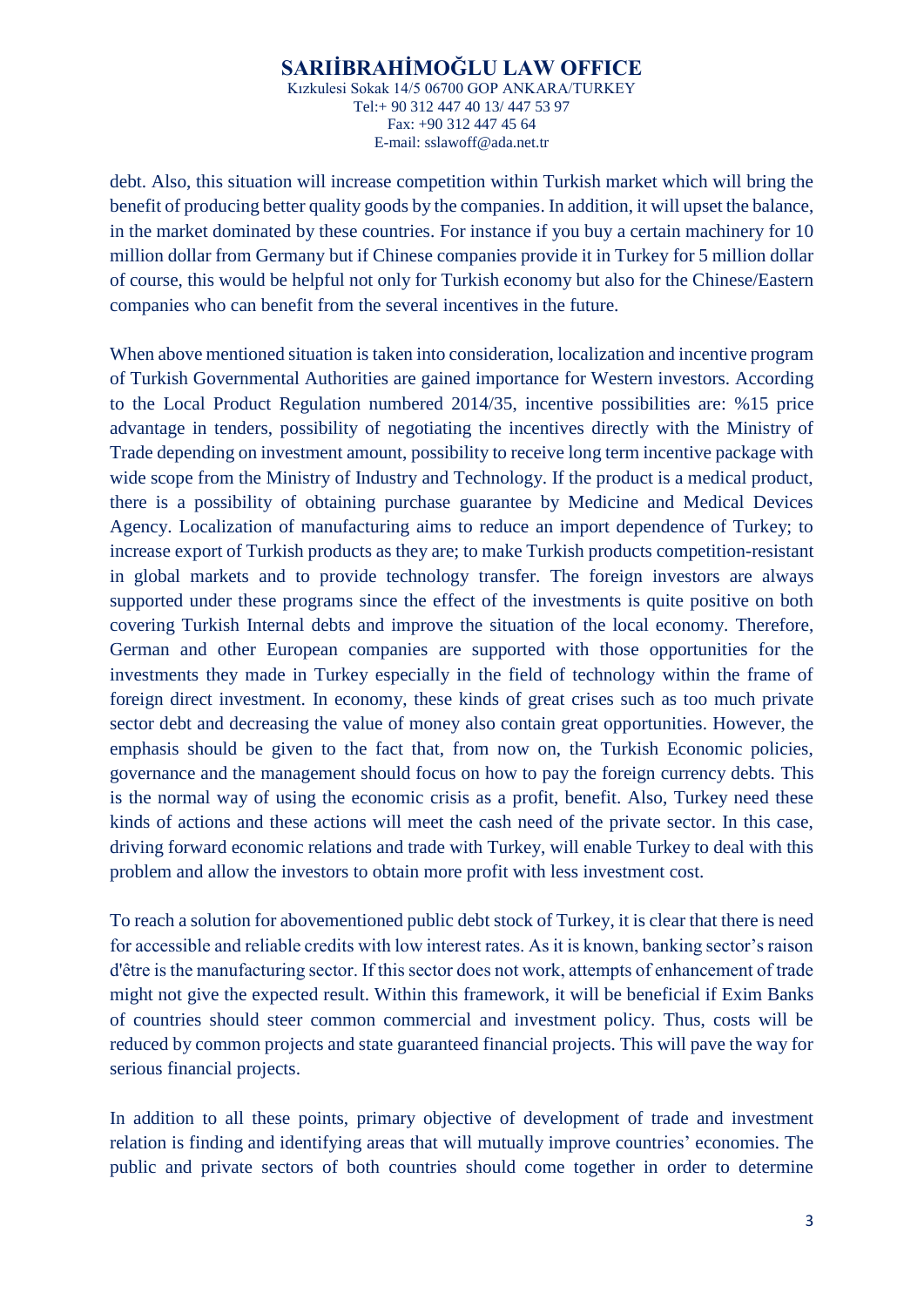debt. Also, this situation will increase competition within Turkish market which will bring the benefit of producing better quality goods by the companies. In addition, it will upset the balance, in the market dominated by these countries. For instance if you buy a certain machinery for 10 million dollar from Germany but if Chinese companies provide it in Turkey for 5 million dollar of course, this would be helpful not only for Turkish economy but also for the Chinese/Eastern companies who can benefit from the several incentives in the future.

When above mentioned situation is taken into consideration, localization and incentive program of Turkish Governmental Authorities are gained importance for Western investors. According to the Local Product Regulation numbered 2014/35, incentive possibilities are: %15 price advantage in tenders, possibility of negotiating the incentives directly with the Ministry of Trade depending on investment amount, possibility to receive long term incentive package with wide scope from the Ministry of Industry and Technology. If the product is a medical product, there is a possibility of obtaining purchase guarantee by Medicine and Medical Devices Agency. Localization of manufacturing aims to reduce an import dependence of Turkey; to increase export of Turkish products as they are; to make Turkish products competition-resistant in global markets and to provide technology transfer. The foreign investors are always supported under these programs since the effect of the investments is quite positive on both covering Turkish Internal debts and improve the situation of the local economy. Therefore, German and other European companies are supported with those opportunities for the investments they made in Turkey especially in the field of technology within the frame of foreign direct investment. In economy, these kinds of great crises such as too much private sector debt and decreasing the value of money also contain great opportunities. However, the emphasis should be given to the fact that, from now on, the Turkish Economic policies, governance and the management should focus on how to pay the foreign currency debts. This is the normal way of using the economic crisis as a profit, benefit. Also, Turkey need these kinds of actions and these actions will meet the cash need of the private sector. In this case, driving forward economic relations and trade with Turkey, will enable Turkey to deal with this problem and allow the investors to obtain more profit with less investment cost.

To reach a solution for abovementioned public debt stock of Turkey, it is clear that there is need for accessible and reliable credits with low interest rates. As it is known, banking sector's raison d'être is the manufacturing sector. If this sector does not work, attempts of enhancement of trade might not give the expected result. Within this framework, it will be beneficial if Exim Banks of countries should steer common commercial and investment policy. Thus, costs will be reduced by common projects and state guaranteed financial projects. This will pave the way for serious financial projects.

In addition to all these points, primary objective of development of trade and investment relation is finding and identifying areas that will mutually improve countries' economies. The public and private sectors of both countries should come together in order to determine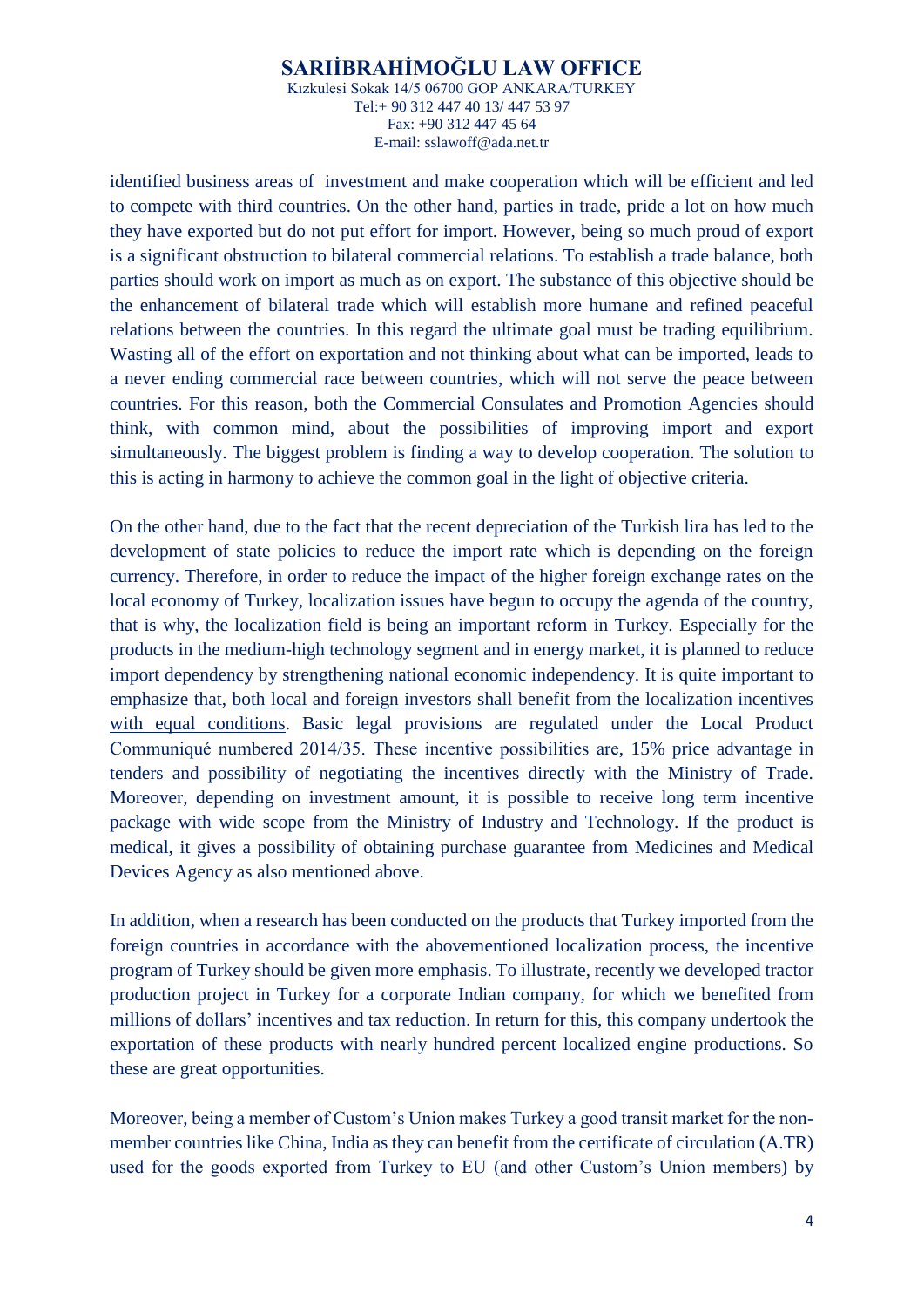identified business areas of investment and make cooperation which will be efficient and led to compete with third countries. On the other hand, parties in trade, pride a lot on how much they have exported but do not put effort for import. However, being so much proud of export is a significant obstruction to bilateral commercial relations. To establish a trade balance, both parties should work on import as much as on export. The substance of this objective should be the enhancement of bilateral trade which will establish more humane and refined peaceful relations between the countries. In this regard the ultimate goal must be trading equilibrium. Wasting all of the effort on exportation and not thinking about what can be imported, leads to a never ending commercial race between countries, which will not serve the peace between countries. For this reason, both the Commercial Consulates and Promotion Agencies should think, with common mind, about the possibilities of improving import and export simultaneously. The biggest problem is finding a way to develop cooperation. The solution to this is acting in harmony to achieve the common goal in the light of objective criteria.

On the other hand, due to the fact that the recent depreciation of the Turkish lira has led to the development of state policies to reduce the import rate which is depending on the foreign currency. Therefore, in order to reduce the impact of the higher foreign exchange rates on the local economy of Turkey, localization issues have begun to occupy the agenda of the country, that is why, the localization field is being an important reform in Turkey. Especially for the products in the medium-high technology segment and in energy market, it is planned to reduce import dependency by strengthening national economic independency. It is quite important to emphasize that, both local and foreign investors shall benefit from the localization incentives with equal conditions. Basic legal provisions are regulated under the Local Product Communiqué numbered 2014/35. These incentive possibilities are, 15% price advantage in tenders and possibility of negotiating the incentives directly with the Ministry of Trade. Moreover, depending on investment amount, it is possible to receive long term incentive package with wide scope from the Ministry of Industry and Technology. If the product is medical, it gives a possibility of obtaining purchase guarantee from Medicines and Medical Devices Agency as also mentioned above.

In addition, when a research has been conducted on the products that Turkey imported from the foreign countries in accordance with the abovementioned localization process, the incentive program of Turkey should be given more emphasis. To illustrate, recently we developed tractor production project in Turkey for a corporate Indian company, for which we benefited from millions of dollars' incentives and tax reduction. In return for this, this company undertook the exportation of these products with nearly hundred percent localized engine productions. So these are great opportunities.

Moreover, being a member of Custom's Union makes Turkey a good transit market for the nonmember countries like China, India as they can benefit from the certificate of circulation (A.TR) used for the goods exported from Turkey to EU (and other Custom's Union members) by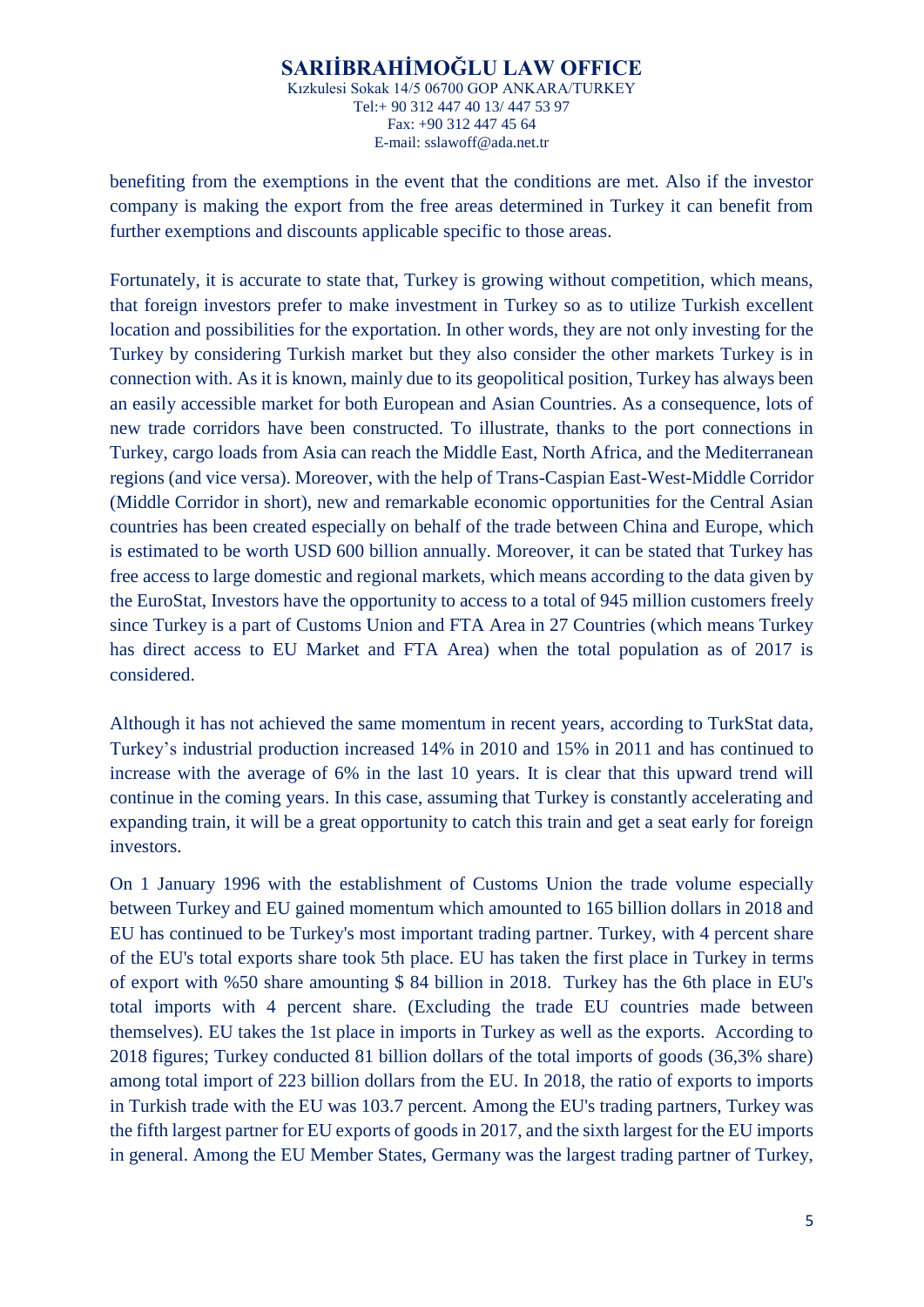benefiting from the exemptions in the event that the conditions are met. Also if the investor company is making the export from the free areas determined in Turkey it can benefit from further exemptions and discounts applicable specific to those areas.

Fortunately, it is accurate to state that, Turkey is growing without competition, which means, that foreign investors prefer to make investment in Turkey so as to utilize Turkish excellent location and possibilities for the exportation. In other words, they are not only investing for the Turkey by considering Turkish market but they also consider the other markets Turkey is in connection with. As it is known, mainly due to its geopolitical position, Turkey has always been an easily accessible market for both European and Asian Countries. As a consequence, lots of new trade corridors have been constructed. To illustrate, thanks to the port connections in Turkey, cargo loads from Asia can reach the Middle East, North Africa, and the Mediterranean regions (and vice versa). Moreover, with the help of Trans-Caspian East-West-Middle Corridor (Middle Corridor in short), new and remarkable economic opportunities for the Central Asian countries has been created especially on behalf of the trade between China and Europe, which is estimated to be worth USD 600 billion annually. Moreover, it can be stated that Turkey has free access to large domestic and regional markets, which means according to the data given by the EuroStat, Investors have the opportunity to access to a total of 945 million customers freely since Turkey is a part of Customs Union and FTA Area in 27 Countries (which means Turkey has direct access to EU Market and FTA Area) when the total population as of 2017 is considered.

Although it has not achieved the same momentum in recent years, according to TurkStat data, Turkey's industrial production increased 14% in 2010 and 15% in 2011 and has continued to increase with the average of 6% in the last 10 years. It is clear that this upward trend will continue in the coming years. In this case, assuming that Turkey is constantly accelerating and expanding train, it will be a great opportunity to catch this train and get a seat early for foreign investors.

On 1 January 1996 with the establishment of Customs Union the trade volume especially between Turkey and EU gained momentum which amounted to 165 billion dollars in 2018 and EU has continued to be Turkey's most important trading partner. Turkey, with 4 percent share of the EU's total exports share took 5th place. EU has taken the first place in Turkey in terms of export with %50 share amounting \$ 84 billion in 2018. Turkey has the 6th place in EU's total imports with 4 percent share. (Excluding the trade EU countries made between themselves). EU takes the 1st place in imports in Turkey as well as the exports. According to 2018 figures; Turkey conducted 81 billion dollars of the total imports of goods (36,3% share) among total import of 223 billion dollars from the EU. In 2018, the ratio of exports to imports in Turkish trade with the EU was 103.7 percent. Among the EU's trading partners, Turkey was the fifth largest partner for EU exports of goods in 2017, and the sixth largest for the EU imports in general. Among the EU Member States, Germany was the largest trading partner of Turkey,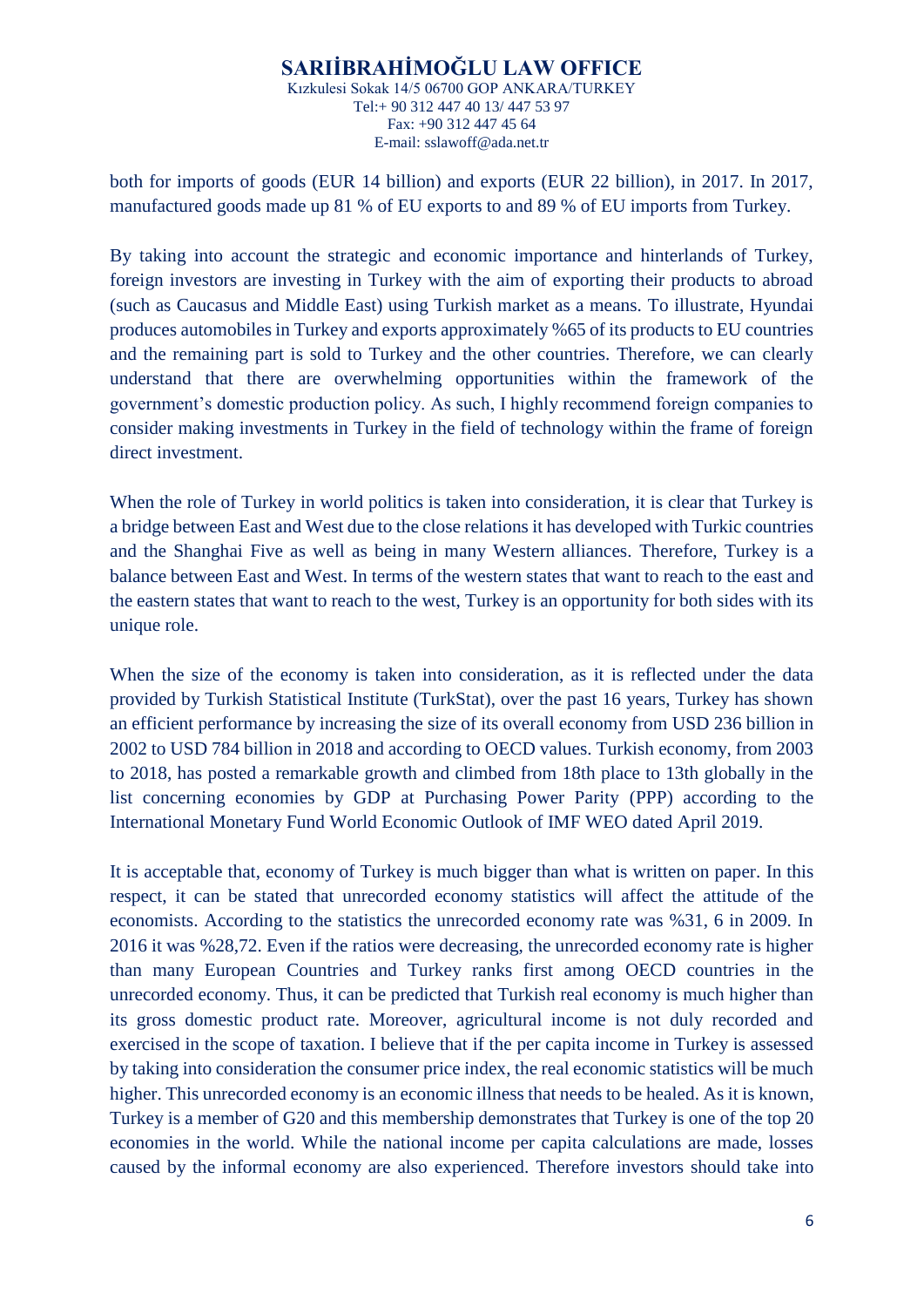both for imports of goods (EUR 14 billion) and exports (EUR 22 billion), in 2017. In 2017, manufactured goods made up 81 % of EU exports to and 89 % of EU imports from Turkey.

By taking into account the strategic and economic importance and hinterlands of Turkey, foreign investors are investing in Turkey with the aim of exporting their products to abroad (such as Caucasus and Middle East) using Turkish market as a means. To illustrate, Hyundai produces automobiles in Turkey and exports approximately %65 of its products to EU countries and the remaining part is sold to Turkey and the other countries. Therefore, we can clearly understand that there are overwhelming opportunities within the framework of the government's domestic production policy. As such, I highly recommend foreign companies to consider making investments in Turkey in the field of technology within the frame of foreign direct investment.

When the role of Turkey in world politics is taken into consideration, it is clear that Turkey is a bridge between East and West due to the close relations it has developed with Turkic countries and the Shanghai Five as well as being in many Western alliances. Therefore, Turkey is a balance between East and West. In terms of the western states that want to reach to the east and the eastern states that want to reach to the west, Turkey is an opportunity for both sides with its unique role.

When the size of the economy is taken into consideration, as it is reflected under the data provided by Turkish Statistical Institute (TurkStat), over the past 16 years, Turkey has shown an efficient performance by increasing the size of its overall economy from USD 236 billion in 2002 to USD 784 billion in 2018 and according to OECD values. Turkish economy, from 2003 to 2018, has posted a remarkable growth and climbed from 18th place to 13th globally in the list concerning economies by GDP at Purchasing Power Parity (PPP) according to the International Monetary Fund World Economic Outlook of IMF WEO dated April 2019.

It is acceptable that, economy of Turkey is much bigger than what is written on paper. In this respect, it can be stated that unrecorded economy statistics will affect the attitude of the economists. According to the statistics the unrecorded economy rate was %31, 6 in 2009. In 2016 it was %28,72. Even if the ratios were decreasing, the unrecorded economy rate is higher than many European Countries and Turkey ranks first among OECD countries in the unrecorded economy. Thus, it can be predicted that Turkish real economy is much higher than its gross domestic product rate. Moreover, agricultural income is not duly recorded and exercised in the scope of taxation. I believe that if the per capita income in Turkey is assessed by taking into consideration the consumer price index, the real economic statistics will be much higher. This unrecorded economy is an economic illness that needs to be healed. As it is known, Turkey is a member of G20 and this membership demonstrates that Turkey is one of the top 20 economies in the world. While the national income per capita calculations are made, losses caused by the informal economy are also experienced. Therefore investors should take into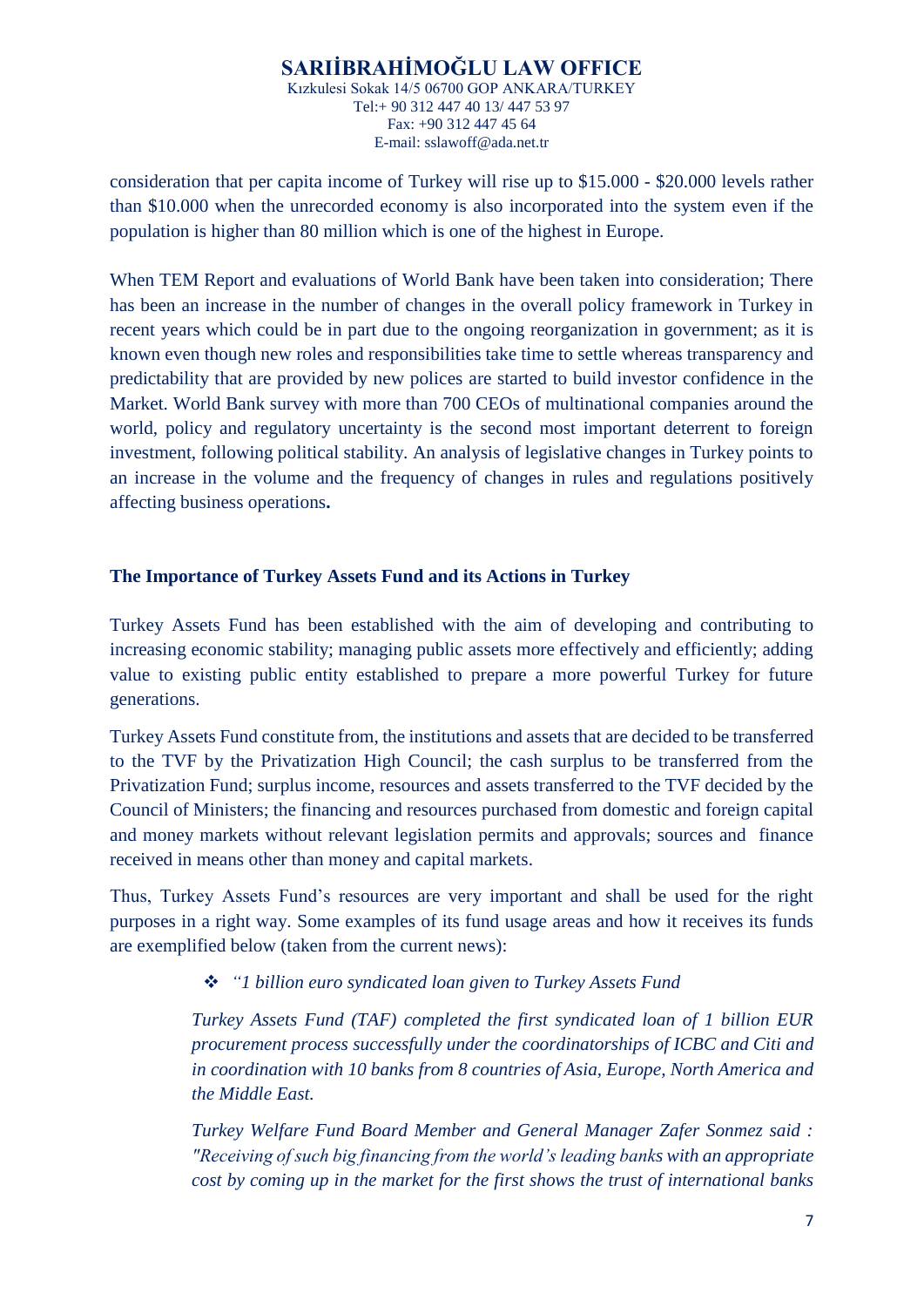consideration that per capita income of Turkey will rise up to \$15.000 - \$20.000 levels rather than \$10.000 when the unrecorded economy is also incorporated into the system even if the population is higher than 80 million which is one of the highest in Europe.

When TEM Report and evaluations of World Bank have been taken into consideration; There has been an increase in the number of changes in the overall policy framework in Turkey in recent years which could be in part due to the ongoing reorganization in government; as it is known even though new roles and responsibilities take time to settle whereas transparency and predictability that are provided by new polices are started to build investor confidence in the Market. World Bank survey with more than 700 CEOs of multinational companies around the world, policy and regulatory uncertainty is the second most important deterrent to foreign investment, following political stability. An analysis of legislative changes in Turkey points to an increase in the volume and the frequency of changes in rules and regulations positively affecting business operations**.**

## **The Importance of Turkey Assets Fund and its Actions in Turkey**

Turkey Assets Fund has been established with the aim of developing and contributing to increasing economic stability; managing public assets more effectively and efficiently; adding value to existing public entity established to prepare a more powerful Turkey for future generations.

Turkey Assets Fund constitute from, the institutions and assets that are decided to be transferred to the TVF by the Privatization High Council; the cash surplus to be transferred from the Privatization Fund; surplus income, resources and assets transferred to the TVF decided by the Council of Ministers; the financing and resources purchased from domestic and foreign capital and money markets without relevant legislation permits and approvals; sources and finance received in means other than money and capital markets.

Thus, Turkey Assets Fund's resources are very important and shall be used for the right purposes in a right way. Some examples of its fund usage areas and how it receives its funds are exemplified below (taken from the current news):

### *"1 billion euro syndicated loan given to Turkey Assets Fund*

*Turkey Assets Fund (TAF) completed the first syndicated loan of 1 billion EUR procurement process successfully under the coordinatorships of ICBC and Citi and in coordination with 10 banks from 8 countries of Asia, Europe, North America and the Middle East.*

*Turkey Welfare Fund Board Member and General Manager Zafer Sonmez said : "Receiving of such big financing from the world's leading banks with an appropriate cost by coming up in the market for the first shows the trust of international banks*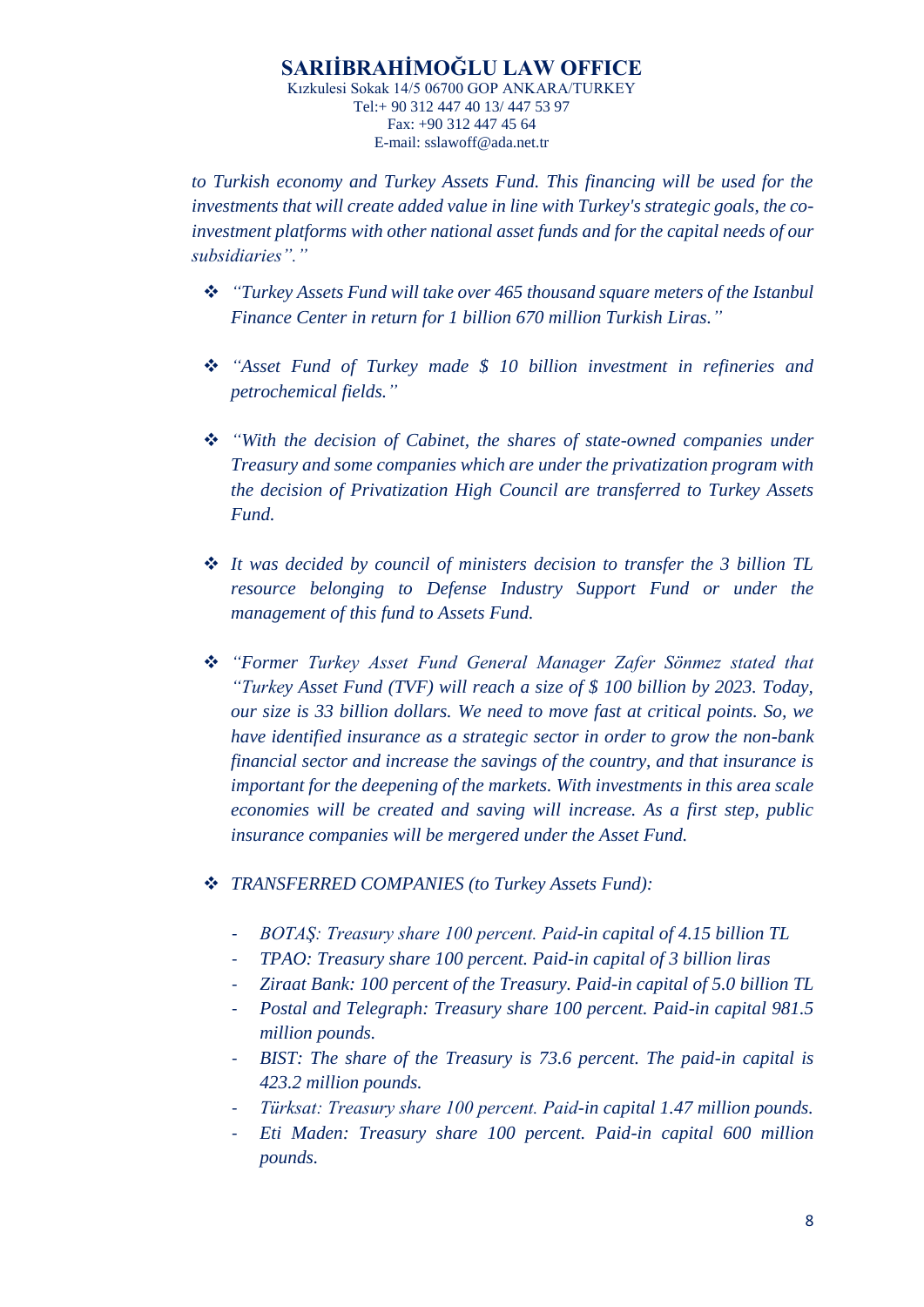*to Turkish economy and Turkey Assets Fund. This financing will be used for the investments that will create added value in line with Turkey's strategic goals, the coinvestment platforms with other national asset funds and for the capital needs of our subsidiaries"."*

- *"Turkey Assets Fund will take over 465 thousand square meters of the Istanbul Finance Center in return for 1 billion 670 million Turkish Liras."*
- *"Asset Fund of Turkey made \$ 10 billion investment in refineries and petrochemical fields."*
- *"With the decision of Cabinet, the shares of state-owned companies under Treasury and some companies which are under the privatization program with the decision of Privatization High Council are transferred to Turkey Assets Fund.*
- *It was decided by council of ministers decision to transfer the 3 billion TL resource belonging to Defense Industry Support Fund or under the management of this fund to Assets Fund.*
- *"Former Turkey Asset Fund General Manager Zafer Sönmez stated that "Turkey Asset Fund (TVF) will reach a size of \$ 100 billion by 2023. Today, our size is 33 billion dollars. We need to move fast at critical points. So, we have identified insurance as a strategic sector in order to grow the non-bank financial sector and increase the savings of the country, and that insurance is important for the deepening of the markets. With investments in this area scale economies will be created and saving will increase. As a first step, public insurance companies will be mergered under the Asset Fund.*
- *TRANSFERRED COMPANIES (to Turkey Assets Fund):*
	- *BOTAŞ: Treasury share 100 percent. Paid-in capital of 4.15 billion TL*
	- *TPAO: Treasury share 100 percent. Paid-in capital of 3 billion liras*
	- *Ziraat Bank: 100 percent of the Treasury. Paid-in capital of 5.0 billion TL*
	- *Postal and Telegraph: Treasury share 100 percent. Paid-in capital 981.5 million pounds.*
	- *BIST: The share of the Treasury is 73.6 percent. The paid-in capital is 423.2 million pounds.*
	- *Türksat: Treasury share 100 percent. Paid-in capital 1.47 million pounds.*
	- *Eti Maden: Treasury share 100 percent. Paid-in capital 600 million pounds.*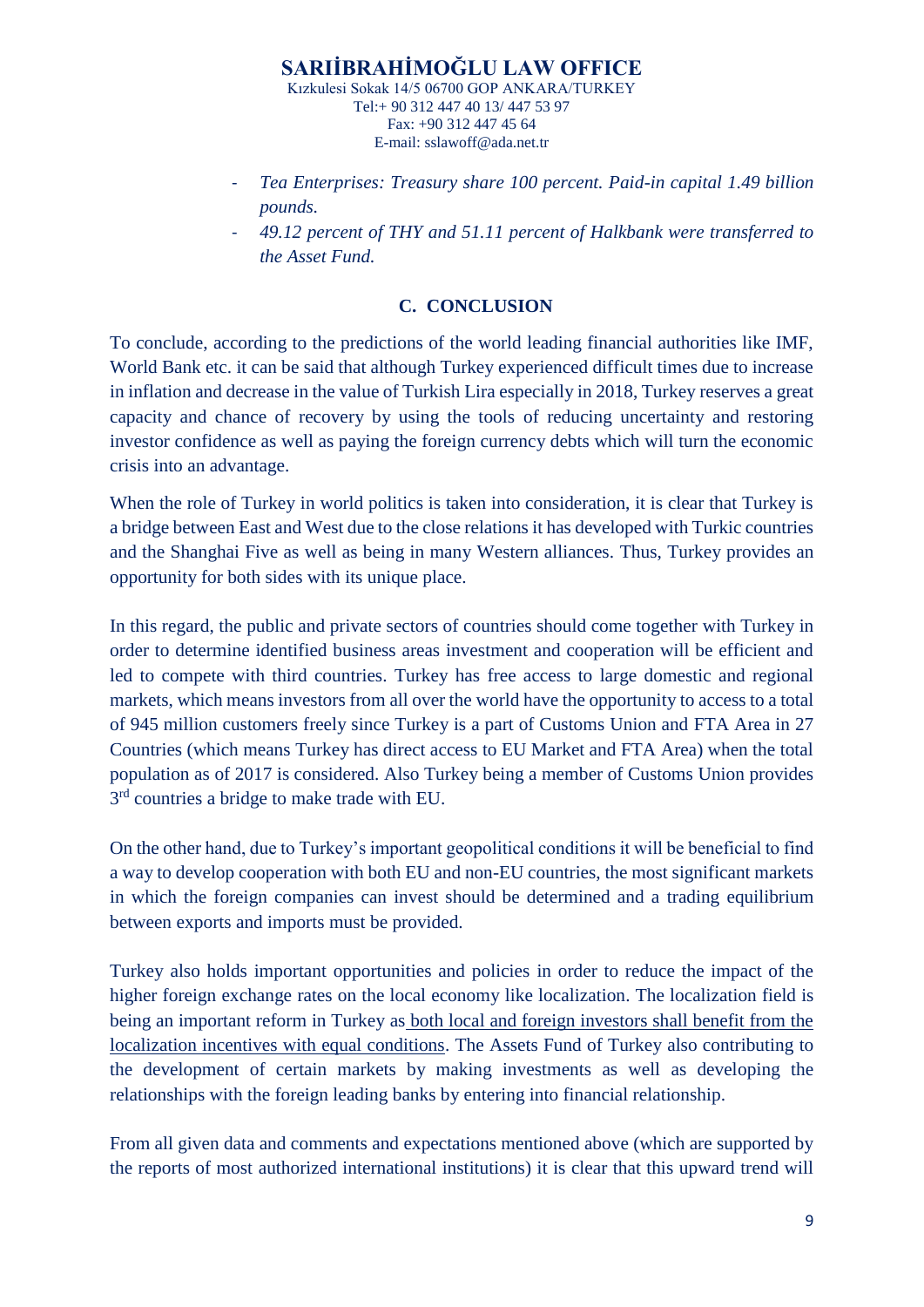- *Tea Enterprises: Treasury share 100 percent. Paid-in capital 1.49 billion pounds.*
- *49.12 percent of THY and 51.11 percent of Halkbank were transferred to the Asset Fund.*

### **C. CONCLUSION**

To conclude, according to the predictions of the world leading financial authorities like IMF, World Bank etc. it can be said that although Turkey experienced difficult times due to increase in inflation and decrease in the value of Turkish Lira especially in 2018, Turkey reserves a great capacity and chance of recovery by using the tools of reducing uncertainty and restoring investor confidence as well as paying the foreign currency debts which will turn the economic crisis into an advantage.

When the role of Turkey in world politics is taken into consideration, it is clear that Turkey is a bridge between East and West due to the close relations it has developed with Turkic countries and the Shanghai Five as well as being in many Western alliances. Thus, Turkey provides an opportunity for both sides with its unique place.

In this regard, the public and private sectors of countries should come together with Turkey in order to determine identified business areas investment and cooperation will be efficient and led to compete with third countries. Turkey has free access to large domestic and regional markets, which means investors from all over the world have the opportunity to access to a total of 945 million customers freely since Turkey is a part of Customs Union and FTA Area in 27 Countries (which means Turkey has direct access to EU Market and FTA Area) when the total population as of 2017 is considered. Also Turkey being a member of Customs Union provides 3<sup>rd</sup> countries a bridge to make trade with EU.

On the other hand, due to Turkey's important geopolitical conditions it will be beneficial to find a way to develop cooperation with both EU and non-EU countries, the most significant markets in which the foreign companies can invest should be determined and a trading equilibrium between exports and imports must be provided.

Turkey also holds important opportunities and policies in order to reduce the impact of the higher foreign exchange rates on the local economy like localization. The localization field is being an important reform in Turkey as both local and foreign investors shall benefit from the localization incentives with equal conditions. The Assets Fund of Turkey also contributing to the development of certain markets by making investments as well as developing the relationships with the foreign leading banks by entering into financial relationship.

From all given data and comments and expectations mentioned above (which are supported by the reports of most authorized international institutions) it is clear that this upward trend will